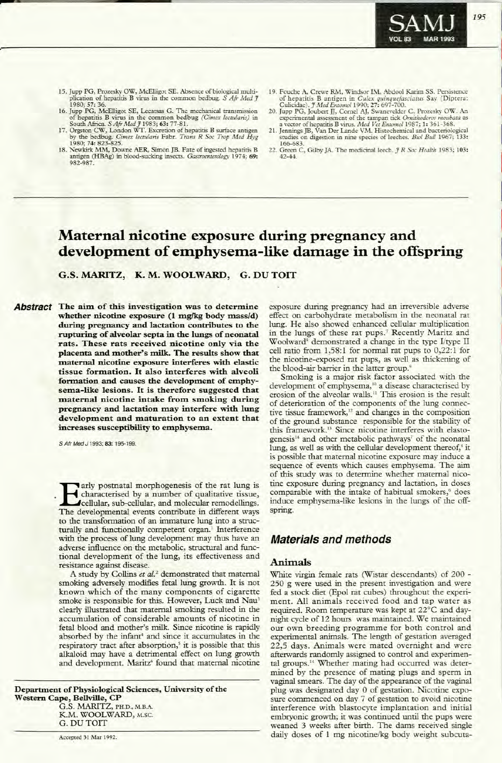# **Maternal nicotine exposure during pregnancy and development** of **emphysema-like damage** in the offspring

**G.S. MARITZ, K. M. WOOLWARD, G. DU TOIT**

**Abstract** The aim of this investigation was to determine **whether nicotine exposure** (1 **mg/kg body mass/d) during pregnancy and lactation contributes to the rupturing** of alveolar septa in the lungs of neonatal **rats. These rats received nicotine only via the placenta** and **mother's milk.** The results show that **tnaternal nicotine exposure interferes with elastic tissue formation**. It also **interferes** with alveoli **formation** and causes the development of emphy**sema-like** lesions. It is therefore suggested that **laternal** nicotine intake from smoking during **pregnancy** and **lactation may interfere** with lung **development** and maturation to an extent that **increases** susceptibility to emphysema.

S Afr Med J 1993; 83: 195-199.

**EXAMPLE AND POSTANT MODEL SET AND POSTANT CONTROLLER SUBSEMINE TO A CONTROLLER SUBSEMINUTE AND A CONTROLLER SUBSEMINUTE AND A CONTROLLER SUBSEMINUTE AND A CONTROLLER SUBSEMINUTE AND A CONTROLLER SUBSEMINUTE AND A CONTROLL** characterised by a number of qualitative tissue, cellular, sub-cellular, and molecular remodellings. The developmental events contribute in different ways to the transformation of an immature lung into a structurally and functionally competent organ.' Interference with the process of lung development may thus have an adverse influence on the metabolic, structural and functional development of the lung, its effectiveness and resistance against disease.

A study by Collins *et al.* 2 demonstrated that maternal smoking adversely modifies fetal lung growth. It is not known which of the many components of cigarette smoke is responsible for this. However, Luck and Nau' clearly illustrated that maternal smoking resulted in the accumulation of considerable amounts of nicotine in fetal blood and mother's milk. Since nicotine is rapidly absorbed by the infant" and since it accumulates in the respiratory tract after absorption,<sup>5</sup> it is possible that this alkaloid may have a detrimental effect on lung growth and development. Maritz<sup>6</sup> found that maternal nicotine

**Department** of Physiological Sciences, University of the **Western Cape, Bellville, CP**

> G.S. MARITZ, PH.D., M.B.A. K.M. WOOLWARD, M.Se. G.DUTOIT

Accepted 31 Mar 1992.

exposure during pregnancy had an irreversible adverse effect on carbohydrate metabolism in the neonatal rat lung. He also showed enhanced cellular multiplication in the lungs of these rat pups.' Recently Maritz and Woolward<sup>8</sup> demonstrated a change in the type I/type II cell ratio from 1,58:1 for normal rat pups to 0,22:1 for the nicotine-exposed rat pups, as well as thickening of the blood-air barrier in the latter group.<sup>9</sup>

Smoking is a major risk factor associated with the development of emphysema,<sup>10</sup> a disease characterised by erosion of the alveolar walls." This erosion is the result of deterioration of the components of the lung connective tissue framework,<sup>12</sup> and changes in the composition of the ground substance responsible for the stability of this framework.<sup>13</sup> Since nicotine interferes with elastogenesis" and other metabolic pathways' of the neonatal lung, as well as with the cellular development thereof,<sup>8</sup> it is possible that maternal nicotine exposure may induce a sequence of events which causes emphysema. The aim of this study was to determine whether maternal nicotine exposure during pregnancy and lactation, in doses comparable with the intake of habitual smokers,<sup>6</sup> does induce emphysema-like lesions in the lungs of the offspring.

## **Materials and methods**

### Animals

White virgin female rats (Wistar descendants) of 200 - 250 g were used in the present investigation and were fed a stock diet (Epol rat cubes) throughout the experiment. All animals received food and tap water as required. Room temperature was kept at 22°C and daynight cycle of 12 hours was maintained. We maintained our own breeding programme for both control and experimental animals. The length of gestation averaged 22,5 days. Animals were mated overnight and were afterwards randomly assigned to control and experimental groups.<sup>14</sup> Whether mating had occurred was determined by the presence of mating plugs and sperm in vaginal smears. The day of the appearance of the vaginal plug was designated day 0 of gestation. Nicotine exposure commenced on day 7 of gestation to avoid nicotine interference with blastocyte implantation and initial embryonic growth; it was continued until the pups were weaned 3 weeks after birth. The dams received single daily doses of 1 mg nicotine/kg body weight subcuta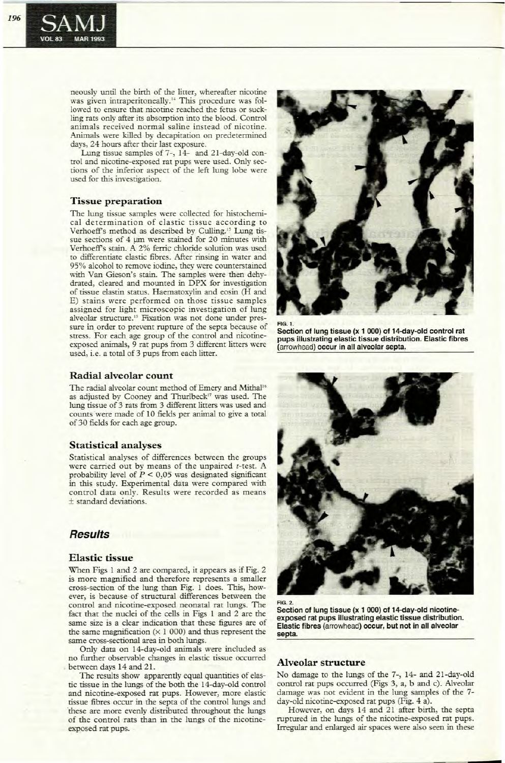neously until the birth of the litter, whereafter nicotine was given intraperitoneally.<sup>14</sup> This procedure was followed to ensure that nicotine reached the fetus or suckling rats only after its absorption into the blood. Control animals received normal saline instead of nicotine. Animals were killed by decapitation on predetermined days, 24 hours after their last exposure.

Lung tissue samples of 7-, 14- and 21-day-old control and nicotine-exposed rat pups were used. Only sections of the inferior aspect of the left lung lobe were used for this investigation.

### **Tissue preparation**

The lung tissue samples were collected for histochemical determination of elastic tissue according to Verhoeff's method as described by Culling." Lung tissue sections of 4 µm were stained for 20 minutes with Verhoeff's stain. A 2% ferric chloride solution was used to differentiate elastic fibres. After rinsing in water and 95% alcohol to remove iodine, they were counterstained with Van Gieson's stain. The samples were then dehydrated, cleared and mounted in DPX for investigation of tissue elastin status. Haematoxylin and eosin (H and E) stains were performed on those tissue samples assigned for light microscopic investigation of lung alveolar structure.<sup>15</sup> Fixation was not done under pressure in order to prevent rupture of the septa because of stress. For each age group of the control and nicotineexposed animals, 9 rat pups from 3 different litters were used, i.e. a rotal of 3 pups from each litter.

### **Radial alveolar count**

The radial alveolar count method of Emery and Mithal<sup>16</sup> as adjusted by Cooney and Thurlbeck" was used. The lung tissue of 3 rats from 3 different litters was used and counts were made of 10 fields per animal to give a total of 30 fields for each age group.

### **Statistical analyses**

Statistical analyses of differences between the groups were carried out by means of the unpaired  $t$ -test. A probability level of  $P < 0.05$  was designated significant in this study. Experimental data were compared with control data only. Results were recorded as means ± standard deviations.

## **Results**

### **Elastic tissue**

When Figs I and 2 are compared, it appears as if Fig. 2 is more magnified and therefore represents a smaller cross-section of the lung than Fig. 1 does. This, however, is because of structural differences between the control and nicotine-exposed neonatal rat lungs. The fact that the nuclei of the cells in Figs 1 and 2 are the same size is a clear indication that these figures are of the same magnification  $(x 1 000)$  and thus represent the same cross-sectional area in both lungs.

Only data on 14-day-old animals were included as no further observable changes in elastic tissue occurred between days 14 and 21.

The results show apparently equal quantities of elastic tissue in the lungs of the both the 14-day-old control and nicotine-exposed rat pups. However, more elastic tissue fibres occur in the septa of the control lungs and these are more evenly distributed throughout the lungs of the control rats than in the lungs of the nicotineexposed rat pups.



**Section of lung tissue (x 1 000) of 14-day-old control rat pups illustrating elastic tissue distribution. Elastic fibres**  $($ arrowhead) **occur** in all alveolar septa.

**Section of lung tissue (x 1 000) of 14-day-old nicotineexposed rat pups illustrating elastic tissue distribution. Elastic fibres** (arroWhead) **occur, but not in all alveolar septa.**

### **Alveolar structure**

FIG. 2.

No damage to the lungs of the 7-, 14- and 21-day-old control rat pups occurred (Figs 3, a, b and c). Alveolar damage was not evident in the lung samples of the 7day-old nicotine-exposed rat pups (Fig. 4 a).

However, on days 14 and 21 after birth, the septa ruptured in the lungs of the nicotine-exposed rat pups. Irregular and enlarged air spaces were also seen in these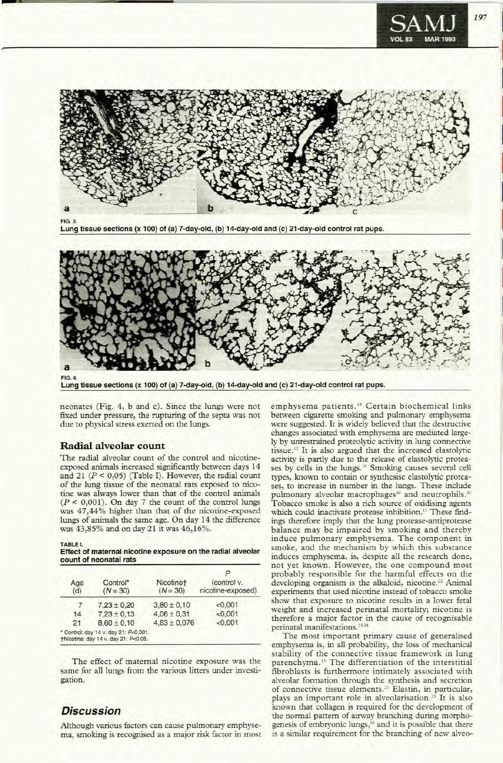

FIG, 3.

Lung tissue sections (x 100) of (a) 7-day-old, (b) 14-day-old and (c) 21-day-old control rat pups.



Lung tissue sections (x 100) of (a) 7-day-old, (b) 14-day-old and (c) 21-day-old control rat pups.

neonates (Fig. 4, b and c). Since the lungs were not fixed under pressure, the rupturing of the septa was not due to physical stress exerted on the lungs.

### Radial alveolar count

The radial alveolar count of the control and nicotineexposed animals increased significantly between days 14 and 21 ( $P < 0.05$ ) (Table I). However, the radial count of the lung tissue of the neonatal rats exposed to nicotine was always lower than that of the control animals  $(P < 0,001)$ . On day 7 the count of the control lungs was 47,44% higher than that of the nicotine-exposed lungs of animals the same age. On day 14 the difference was 43,85% and on day 21 it was 46,16%.

TABLE I.

Effect of maternal nicotine exposure on the radial alveolar count of neonatal rats

| Age<br>(d) | Control*<br>$(N = 30)$                                                        | Nicotinet<br>$(N = 30)$ | (control v.<br>nicotine-exposed) |
|------------|-------------------------------------------------------------------------------|-------------------------|----------------------------------|
|            | $7.23 \pm 0.20$                                                               | $3.80 \pm 0.10$         | < 0.001                          |
| 14         | $7.23 \pm 0.13$                                                               | $4.06 \pm 0.31$         | < 0.001                          |
| 21         | $8.60 \pm 0.10$                                                               | $4.63 \pm 0.076$        | < 0.001                          |
|            | * Control: day 14 v. day 21: P<0,001.<br>†Nicotine: day 14 v. day 21: P<0,05. |                         |                                  |

The effect of maternal nicotine exposure was the same for all lungs from the various litters under investigation.

## **Discussion**

Although various factors can cause pulmonary emphysema, smoking is recognised as a major risk factor in most

emphysema patients.<sup>18</sup> Certain biochemical links between cigarette smoking and pulmonary emphysema were suggested. It is widely believed that the destructive changes associated with emphysema are mediated largely by unrestrained proteolytic activity in lung connective tissue. <sup>12</sup> It is also argued that the increased elastolyric activity is partly due to the release of elastolytic proteases by cells in the lungs.<sup>19</sup> Smoking causes several cell types, known to contain or synthesise elastolytic proteases, to increase in number in the lungs. These include pulmonary alveolar macrophages<sup>20</sup> and neutrophils.<sup>21</sup> Tobacco smoke is also a rich source of oxidising agents which could inactivate protease inhibition.<sup>11</sup> These findings therefore imply that the lung protease-antiprotease balance may be impaired by smoking and thereby induce pulmonary emphysema. The component in smoke, and the mechanism by which this substance induces emphysema, is, despite all the research done, not yet known. However, the one compound most probably responsible for the harmful effects on the developing organism is the alkaloid, nicotine.<sup>22</sup> Animal experiments that used nicotine instead of tobacco smoke show that exposure to nicotine results in a lower fetal weight and increased perinatal mortality; nicotine is therefore a major factor in the cause of recognisable perinatal manifestations. 23,24

The most important primary cause of generalised emphysema is, in all probability, the loss of mechanical stability of the connective tissue framework in lung parenchyma." The differentiation of the interstitial fibroblasts is furthermore intimately associated with alveolar formation through the synthesis and secretion of connective tissue elements.<sup>21</sup> Elastin, in particular, plays an important role in alveolarisation.<sup>25</sup> It is also known that collagen is required for the development of the normal pattern of airway branching during morphogenesis of embryonic lungs,<sup>26</sup> and it is possible that there is a similar requirement for the branching of new alveoI

I

I

I

I

I

I

I